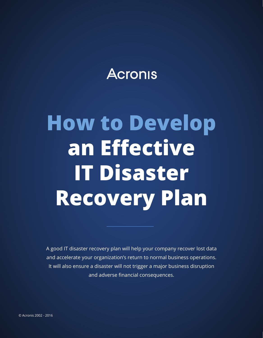### **Acronis**

# **How to Develop an Efective IT Disaster Recovery Plan**

A good IT disaster recovery plan will help your company recover lost data and accelerate your organization's return to normal business operations. It will also ensure a disaster will not trigger a major business disruption and adverse fnancial consequences.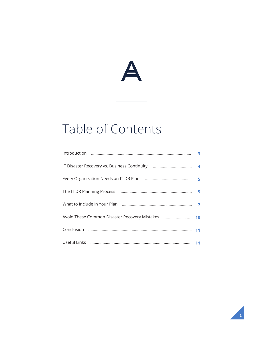

#### Table of Contents

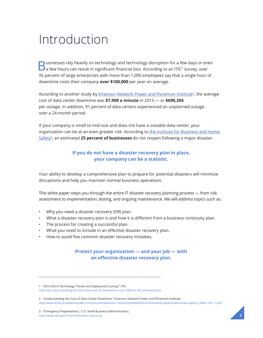### <span id="page-2-0"></span>Introduction

 $B$  usinesses rely heavily on technology and technology disruption for a few days or even a few hours can result in significant financial loss. According to an ITIC<sup>1</sup> survey, over 95 percent of large enterprises with more than 1,000 employees say that a single hour of downtime costs their company **over \$100,000** per year on average.

According to another study by Emerson Network Power and Ponemon Institute<sup>2</sup>, the average cost of data center downtime was **\$7,908 a minute** in 2013 — or **\$690,204** per outage. In addition, 91 percent of data centers experienced an unplanned outage over a 24-month period.

If your company is small to mid-size and does not have a sizeable data center, your organization can be at an even greater risk. According to the Institute for Business and Home [Safety3,](http://www.sba.gov/content/disaster-planning) an estimated **25 percent of businesses** do not reopen following a major disaster.

#### **If you do not have a disaster recovery plan in place, your company can be a statistic.**

Your ability to develop a comprehensive plan to prepare for potential disasters will minimize disruptions and help you maintain normal business operations.

This white paper steps you through the entire IT disaster recovery planning process — from risk assessment to implementation, testing, and ongoing maintenance. We will address topics such as:

- Why you need a disaster recovery (DR) plan.
- What a disaster recovery plan is and how it is diferent from a business continuity plan.
- The process for creating a successful plan.
- What you need to include in an efective disaster recovery plan.
- How to avoid five common disaster recovery mistakes.

#### **Protect your organization — and your job — with an efective disaster recovery plan.**

3 - "Emergency Preparedness," U.S. Small Business Administration, http://www.sba.gov/content/disaster-planning



<sup>1 - &</sup>quot;2013-2014 Technology Trends and Deployment Survey," ITIC, http://itic-corp.com/blog/2013/07/one-hour-of-downtime-costs-100k-for-95-of-enterprises

<sup>2 - &</sup>quot;Understanding the Cost of Data Center Downtime," Emerson Network Power and Ponemon Institute, http://www.emersonnetworkpower.com/documentation/en-us/brands/liebert/documents/white papers/data-center-uptime\_24661-r05-11.pdf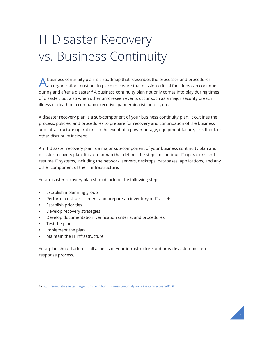# <span id="page-3-0"></span>IT Disaster Recovery vs. Business Continuity

Abusiness continuity plan is a roadmap that "describes the processes and procedures<br>An organization must put in place to ensure that mission-critical functions can continue during and after a disaster.<sup>4</sup> A business continuity plan not only comes into play during times of disaster, but also when other unforeseen events occur such as a major security breach, illness or death of a company executive, pandemic, civil unrest, etc.

A disaster recovery plan is a sub-component of your business continuity plan. It outlines the process, policies, and procedures to prepare for recovery and continuation of the business and infrastructure operations in the event of a power outage, equipment failure, fre, food, or other disruptive incident.

An IT disaster recovery plan is a major sub-component of your business continuity plan and disaster recovery plan. It is a roadmap that defnes the steps to continue IT operations and resume IT systems, including the network, servers, desktops, databases, applications, and any other component of the IT infrastructure.

Your disaster recovery plan should include the following steps:

- Establish a planning group
- Perform a risk assessment and prepare an inventory of IT assets
- Establish priorities
- Develop recovery strategies
- Develop documentation, verifcation criteria, and procedures
- Test the plan
- Implement the plan
- Maintain the IT infrastructure

Your plan should address all aspects of your infrastructure and provide a step-by-step response process.

<sup>4 -</sup> http://searchstorage.techtarget.com/defnition/Business-Continuity-and-Disaster-Recovery-BCDR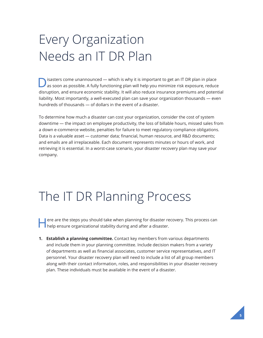## <span id="page-4-0"></span>Every Organization Needs an IT DR Plan

Disasters come unannounced — which is why it is important to get an IT DR plan in place<br>as soon as possible. A fully functioning plan will help you minimize risk exposure, reduce disruption, and ensure economic stability. It will also reduce insurance premiums and potential liability. Most importantly, a well-executed plan can save your organization thousands — even hundreds of thousands — of dollars in the event of a disaster.

To determine how much a disaster can cost your organization, consider the cost of system downtime — the impact on employee productivity, the loss of billable hours, missed sales from a down e-commerce website, penalties for failure to meet regulatory compliance obligations. Data is a valuable asset — customer data; financial, human resource, and R&D documents; and emails are all irreplaceable. Each document represents minutes or hours of work, and retrieving it is essential. In a worst-case scenario, your disaster recovery plan may save your company.

### The IT DR Planning Process

ere are the steps you should take when planning for disaster recovery. This process can help ensure organizational stability during and after a disaster.

**1. Establish a planning committee.** Contact key members from various departments and include them in your planning committee. Include decision makers from a variety of departments as well as fnancial associates, customer service representatives, and IT personnel. Your disaster recovery plan will need to include a list of all group members along with their contact information, roles, and responsibilities in your disaster recovery plan. These individuals must be available in the event of a disaster.

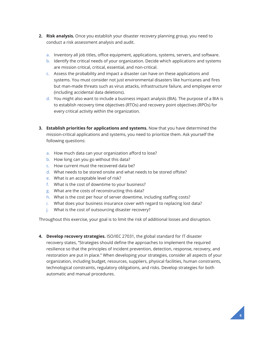- **2. Risk analysis.** Once you establish your disaster recovery planning group, you need to conduct a risk assessment analysis and audit.
	- a. Inventory all job titles, office equipment, applications, systems, servers, and software.
	- b. Identify the critical needs of your organization. Decide which applications and systems are mission critical, critical, essential, and non-critical.
	- c. Assess the probability and impact a disaster can have on these applications and systems. You must consider not just environmental disasters like hurricanes and fres but man-made threats such as virus attacks, infrastructure failure, and employee error (including accidental data deletions).
	- d. You might also want to include a business impact analysis (BIA). The purpose of a BIA is to establish recovery time objectives (RTOs) and recovery point objectives (RPOs) for every critical activity within the organization.
- **3. Establish priorities for applications and systems.** Now that you have determined the mission-critical applications and systems, you need to prioritize them. Ask yourself the following questions:
	- a. How much data can your organization afford to lose?
	- b. How long can you go without this data?
	- c. How current must the recovered data be?
	- d. What needs to be stored onsite and what needs to be stored offsite?
	- e. What is an acceptable level of risk?
	- f. What is the cost of downtime to your business?
	- g. What are the costs of reconstructing this data?
	- h. What is the cost per hour of server downtime, including staffing costs?
	- i. What does your business insurance cover with regard to replacing lost data?
	- j. What is the cost of outsourcing disaster recovery?

Throughout this exercise, your goal is to limit the risk of additional losses and disruption.

**4. Develop recovery strategies.** ISO/IEC 27031, the global standard for IT disaster recovery states, "Strategies should defne the approaches to implement the required resilience so that the principles of incident prevention, detection, response, recovery, and restoration are put in place." When developing your strategies, consider all aspects of your organization, including budget, resources, suppliers, physical facilities, human constraints, technological constraints, regulatory obligations, and risks. Develop strategies for both automatic and manual procedures.

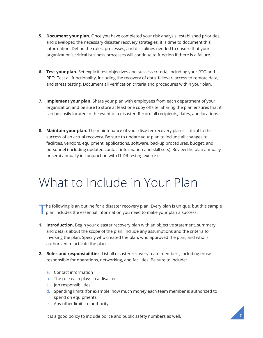- <span id="page-6-0"></span>**5. Document your plan.** Once you have completed your risk analysis, established priorities, and developed the necessary disaster recovery strategies, it is time to document this information. Defne the rules, processes, and disciplines needed to ensure that your organization's critical business processes will continue to function if there is a failure.
- **6. Test your plan.** Set explicit test objectives and success criteria, including your RTO and RPO. Test all functionality, including the recovery of data, failover, access to remote data, and stress testing. Document all verifcation criteria and procedures within your plan.
- **7. Implement your plan.** Share your plan with employees from each department of your organization and be sure to store at least one copy offsite. Sharing the plan ensures that it can be easily located in the event of a disaster. Record all recipients, dates, and locations.
- **8. Maintain your plan.** The maintenance of your disaster recovery plan is critical to the success of an actual recovery. Be sure to update your plan to include all changes to facilities, vendors, equipment, applications, software, backup procedures, budget, and personnel (including updated contact information and skill sets). Review the plan annually or semi-annually in conjunction with IT DR testing exercises.

#### What to Include in Your Plan

The following is an outline for a disaster recovery plan. Every plan is unique, but this sample plan includes the essential information you need to make your plan a success.

- **1. Introduction.** Begin your disaster recovery plan with an objective statement, summary, and details about the scope of the plan. Include any assumptions and the criteria for invoking the plan. Specify who created the plan, who approved the plan, and who is authorized to activate the plan.
- **2. Roles and responsibilities.** List all disaster recovery team members, including those responsible for operations, networking, and facilities. Be sure to include:
	- a. Contact information
	- b. The role each plays in a disaster
	- c. Job responsibilities
	- d. Spending limits (for example, how much money each team member is authorized to spend on equipment)
	- e. Any other limits to authority

It is a good policy to include police and public safety numbers as well.

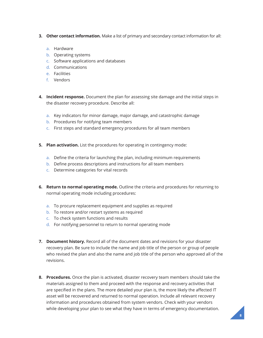- **3. Other contact information.** Make a list of primary and secondary contact information for all:
	- a. Hardware
	- b. Operating systems
	- c. Software applications and databases
	- d. Communications
	- e. Facilities
	- f. Vendors
- **4. Incident response.** Document the plan for assessing site damage and the initial steps in the disaster recovery procedure. Describe all:
	- a. Key indicators for minor damage, major damage, and catastrophic damage
	- b. Procedures for notifying team members
	- c. First steps and standard emergency procedures for all team members
- **5. Plan activation.** List the procedures for operating in contingency mode:
	- a. Defne the criteria for launching the plan, including minimum requirements
	- b. Define process descriptions and instructions for all team members
	- c. Determine categories for vital records
- **6. Return to normal operating mode.** Outline the criteria and procedures for returning to normal operating mode including procedures:
	- a. To procure replacement equipment and supplies as required
	- b. To restore and/or restart systems as required
	- c. To check system functions and results
	- d. For notifying personnel to return to normal operating mode
- **7. Document history.** Record all of the document dates and revisions for your disaster recovery plan. Be sure to include the name and job title of the person or group of people who revised the plan and also the name and job title of the person who approved all of the revisions.
- **8. Procedures.** Once the plan is activated, disaster recovery team members should take the materials assigned to them and proceed with the response and recovery activities that are specifed in the plans. The more detailed your plan is, the more likely the afected IT asset will be recovered and returned to normal operation. Include all relevant recovery information and procedures obtained from system vendors. Check with your vendors while developing your plan to see what they have in terms of emergency documentation.

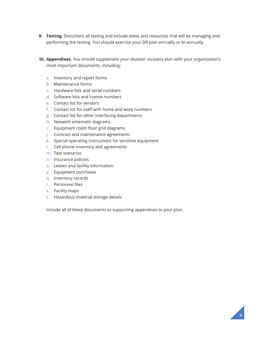- **9. Testing.** Document all testing and include dates and resources that will be managing and performing the testing. You should exercise your DR plan annually or bi-annually.
- **10. Appendixes.** You should supplement your disaster recovery plan with your organization's most important documents, including:
	- a. Inventory and report forms
	- b. Maintenance forms
	- c. Hardware lists and serial numbers
	- d. Software lists and license numbers
	- e. Contact list for vendors
	- f. Contact list for staff with home and work numbers
	- g. Contact list for other interfacing departments
	- h. Network schematic diagrams
	- i. Equipment room floor grid diagrams
	- j. Contract and maintenance agreements
	- k. Special operating instructions for sensitive equipment
	- l. Cell phone inventory and agreements
	- m. Test scenarios
	- n. Insurance policies
	- o. Leases and facility information
	- p. Equipment purchases
	- q. Inventory records
	- r. Personnel fles
	- s. Facility maps
	- t. Hazardous material storage details

Include all of these documents as supporting appendixes to your plan.

**9**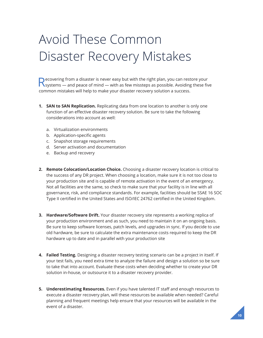# <span id="page-9-0"></span>Avoid These Common Disaster Recovery Mistakes

Recovering from a disaster is never easy but with the right plan, you can restore your<br>
Systems — and peace of mind — with as few missteps as possible. Avoiding these five common mistakes will help to make your disaster recovery solution a success.

- **1. SAN to SAN Replication.** Replicating data from one location to another is only one function of an efective disaster recovery solution. Be sure to take the following considerations into account as well:
	- a. Virtualization environments
	- b. Application-specific agents
	- c. Snapshot storage requirements
	- d. Server activation and documentation
	- e. Backup and recovery
- **2. Remote Colocation/Location Choice.** Choosing a disaster recovery location is critical to the success of any DR project. When choosing a location, make sure it is not too close to your production site and is capable of remote activation in the event of an emergency. Not all facilities are the same, so check to make sure that your facility is in line with all governance, risk, and compliance standards. For example, facilities should be SSAE 16 SOC Type II certifed in the United States and ISO/IEC 24762 certifed in the United Kingdom.
- **3. Hardware/Software Drift.** Your disaster recovery site represents a working replica of your production environment and as such, you need to maintain it on an ongoing basis. Be sure to keep software licenses, patch levels, and upgrades in sync. If you decide to use old hardware, be sure to calculate the extra maintenance costs required to keep the DR hardware up to date and in parallel with your production site
- **4. Failed Testing.** Designing a disaster recovery testing scenario can be a project in itself. If your test fails, you need extra time to analyze the failure and design a solution so be sure to take that into account. Evaluate these costs when deciding whether to create your DR solution in-house, or outsource it to a disaster recovery provider.
- **5. Underestimating Resources.** Even if you have talented IT staff and enough resources to execute a disaster recovery plan, will these resources be available when needed? Careful planning and frequent meetings help ensure that your resources will be available in the event of a disaster.